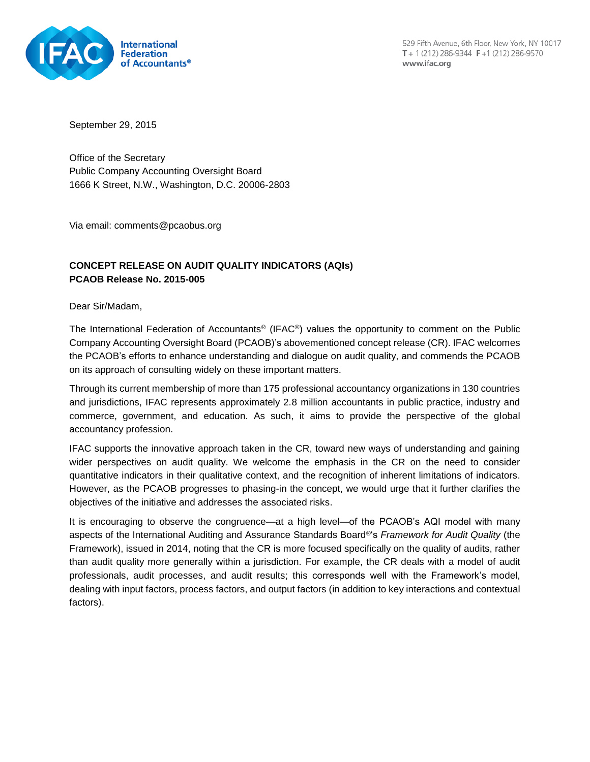

529 Fifth Avenue, 6th Floor, New York, NY 10017 T + 1 (212) 286-9344  $F + 1$  (212) 286-9570 www.ifac.org

September 29, 2015

Office of the Secretary Public Company Accounting Oversight Board 1666 K Street, N.W., Washington, D.C. 20006-2803

Via email: comments@pcaobus.org

# **CONCEPT RELEASE ON AUDIT QUALITY INDICATORS (AQIs) PCAOB Release No. 2015-005**

Dear Sir/Madam,

The International Federation of Accountants® (IFAC®) values the opportunity to comment on the Public Company Accounting Oversight Board (PCAOB)'s abovementioned concept release (CR). IFAC welcomes the PCAOB's efforts to enhance understanding and dialogue on audit quality, and commends the PCAOB on its approach of consulting widely on these important matters.

Through its current membership of more than 175 professional accountancy organizations in 130 countries and jurisdictions, IFAC represents approximately 2.8 million accountants in public practice, industry and commerce, government, and education. As such, it aims to provide the perspective of the global accountancy profession.

IFAC supports the innovative approach taken in the CR, toward new ways of understanding and gaining wider perspectives on audit quality. We welcome the emphasis in the CR on the need to consider quantitative indicators in their qualitative context, and the recognition of inherent limitations of indicators. However, as the PCAOB progresses to phasing-in the concept, we would urge that it further clarifies the objectives of the initiative and addresses the associated risks.

It is encouraging to observe the congruence—at a high level—of the PCAOB's AQI model with many aspects of the International Auditing and Assurance Standards Board®'s *Framework for Audit Quality* (the Framework), issued in 2014, noting that the CR is more focused specifically on the quality of audits, rather than audit quality more generally within a jurisdiction. For example, the CR deals with a model of audit professionals, audit processes, and audit results; this corresponds well with the Framework's model, dealing with input factors, process factors, and output factors (in addition to key interactions and contextual factors).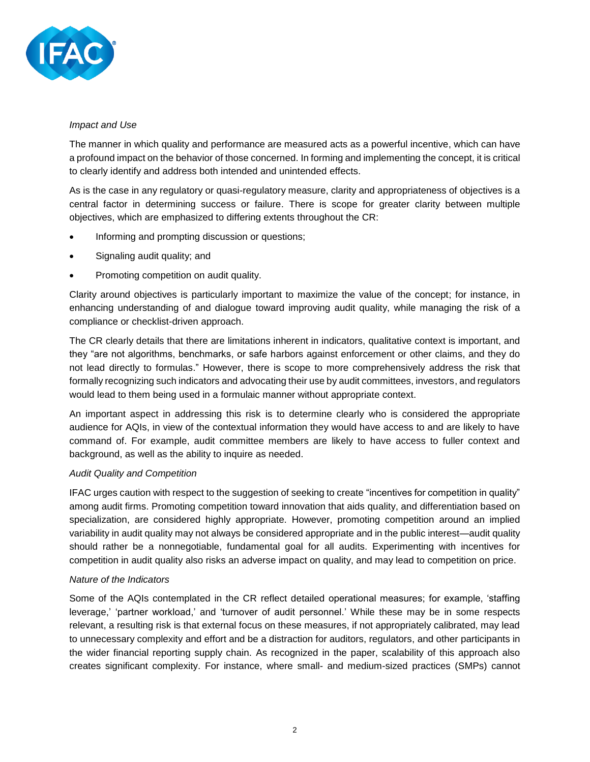

#### *Impact and Use*

The manner in which quality and performance are measured acts as a powerful incentive, which can have a profound impact on the behavior of those concerned. In forming and implementing the concept, it is critical to clearly identify and address both intended and unintended effects.

As is the case in any regulatory or quasi-regulatory measure, clarity and appropriateness of objectives is a central factor in determining success or failure. There is scope for greater clarity between multiple objectives, which are emphasized to differing extents throughout the CR:

- Informing and prompting discussion or questions;
- Signaling audit quality; and
- Promoting competition on audit quality.

Clarity around objectives is particularly important to maximize the value of the concept; for instance, in enhancing understanding of and dialogue toward improving audit quality, while managing the risk of a compliance or checklist-driven approach.

The CR clearly details that there are limitations inherent in indicators, qualitative context is important, and they "are not algorithms, benchmarks, or safe harbors against enforcement or other claims, and they do not lead directly to formulas." However, there is scope to more comprehensively address the risk that formally recognizing such indicators and advocating their use by audit committees, investors, and regulators would lead to them being used in a formulaic manner without appropriate context.

An important aspect in addressing this risk is to determine clearly who is considered the appropriate audience for AQIs, in view of the contextual information they would have access to and are likely to have command of. For example, audit committee members are likely to have access to fuller context and background, as well as the ability to inquire as needed.

## *Audit Quality and Competition*

IFAC urges caution with respect to the suggestion of seeking to create "incentives for competition in quality" among audit firms. Promoting competition toward innovation that aids quality, and differentiation based on specialization, are considered highly appropriate. However, promoting competition around an implied variability in audit quality may not always be considered appropriate and in the public interest—audit quality should rather be a nonnegotiable, fundamental goal for all audits. Experimenting with incentives for competition in audit quality also risks an adverse impact on quality, and may lead to competition on price.

## *Nature of the Indicators*

Some of the AQIs contemplated in the CR reflect detailed operational measures; for example, 'staffing leverage,' 'partner workload,' and 'turnover of audit personnel.' While these may be in some respects relevant, a resulting risk is that external focus on these measures, if not appropriately calibrated, may lead to unnecessary complexity and effort and be a distraction for auditors, regulators, and other participants in the wider financial reporting supply chain. As recognized in the paper, scalability of this approach also creates significant complexity. For instance, where small- and medium-sized practices (SMPs) cannot